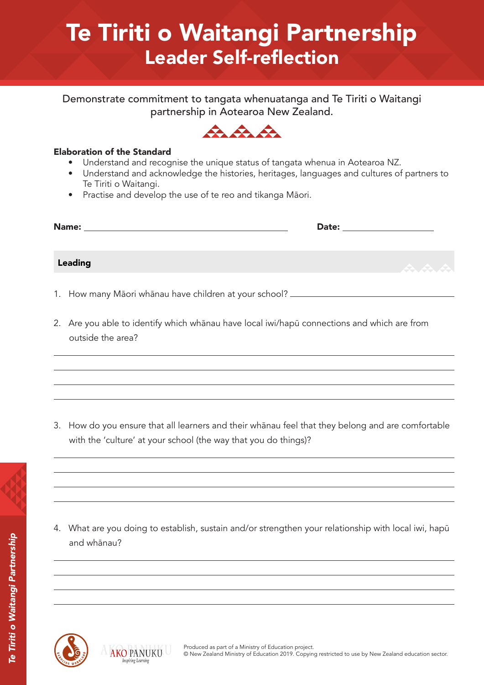# Te Tiriti o Waitangi Partnership Leader Self-reflection

Demonstrate commitment to tangata whenuatanga and Te Tiriti o Waitangi partnership in Aotearoa New Zealand.



#### Elaboration of the Standard

- Understand and recognise the unique status of tangata whenua in Aotearoa NZ.
- Understand and acknowledge the histories, heritages, languages and cultures of partners to Te Tiriti o Waitangi.
- Practise and develop the use of te reo and tikanga Māori.

| Name:   | Date: |          |  |
|---------|-------|----------|--|
|         |       |          |  |
| Leading |       | <b>A</b> |  |

- 1. How many Māori whānau have children at your school?
- 2. Are you able to identify which whānau have local iwi/hapū connections and which are from outside the area?

3. How do you ensure that all learners and their whānau feel that they belong and are comfortable with the 'culture' at your school (the way that you do things)?



4. What are you doing to establish, sustain and/or strengthen your relationship with local iwi, hapū and whānau?



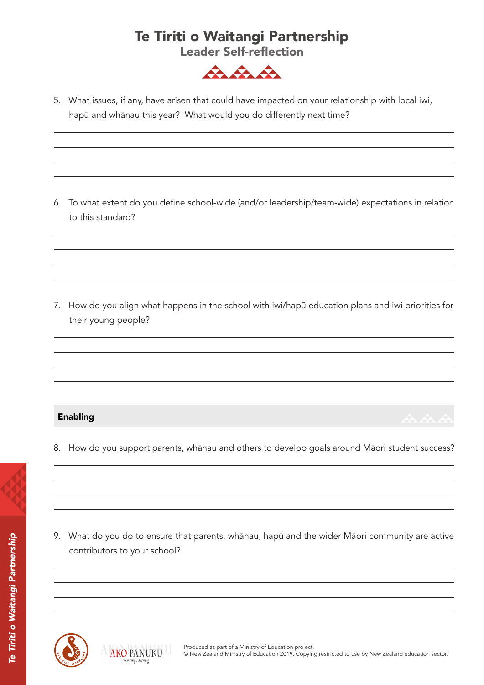# Te Tiriti o Waitangi Partnership

Leader Self-reflection



5. What issues, if any, have arisen that could have impacted on your relationship with local iwi, hapū and whānau this year? What would you do differently next time?

6. To what extent do you define school-wide (and/or leadership/team-wide) expectations in relation to this standard?

7. How do you align what happens in the school with iwi/hapū education plans and iwi priorities for their young people?

### Enabling

8. How do you support parents, whānau and others to develop goals around Māori student success?

இ

9. What do you do to ensure that parents, whānau, hapū and the wider Māori community are active contributors to your school?



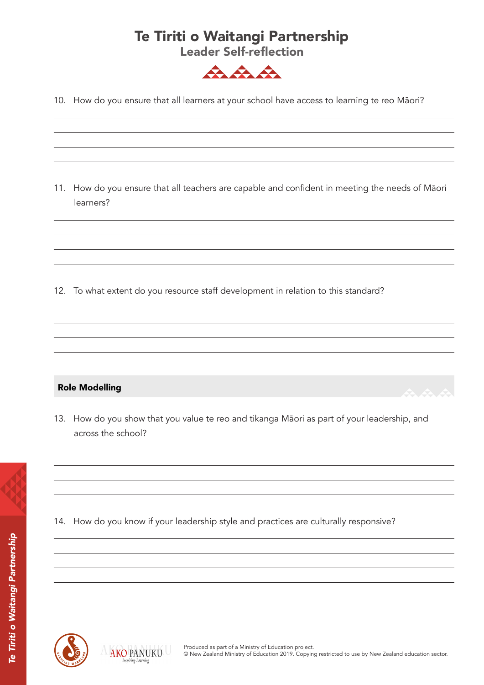## Te Tiriti o Waitangi Partnership

Leader Self-reflection



10. How do you ensure that all learners at your school have access to learning te reo Māori?

11. How do you ensure that all teachers are capable and confident in meeting the needs of Māori learners?

12. To what extent do you resource staff development in relation to this standard?

Role Modelling

13. How do you show that you value te reo and tikanga Māori as part of your leadership, and across the school?



14. How do you know if your leadership style and practices are culturally responsive?



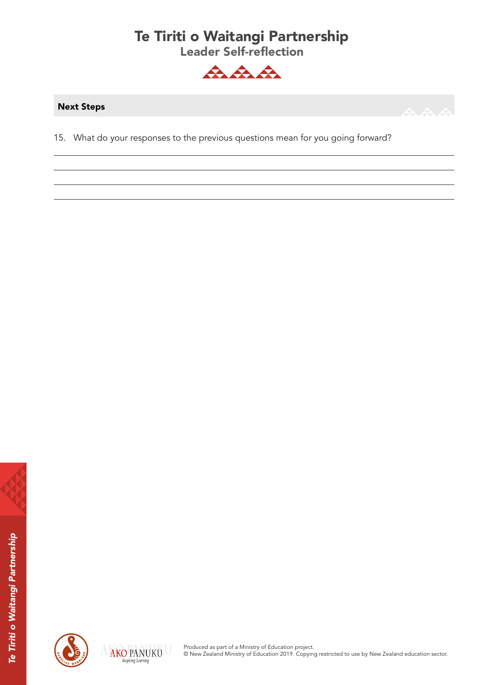# Te Tiriti o Waitangi Partnership

Leader Self-reflection



#### Next Steps



15. What do your responses to the previous questions mean for you going forward?





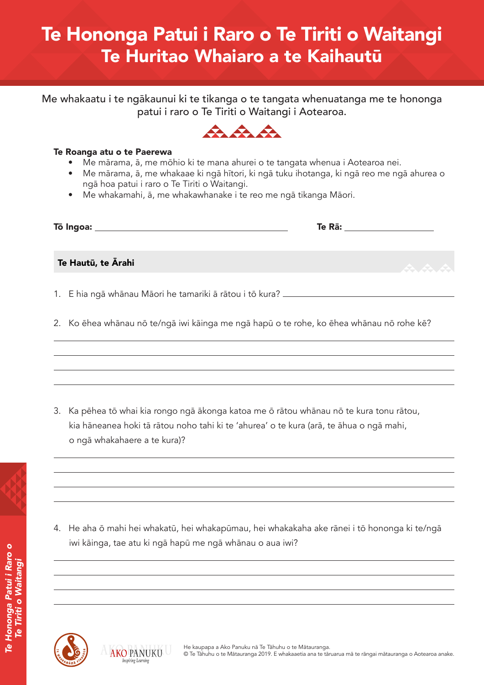# Te Hononga Patui i Raro o Te Tiriti o Waitangi Te Huritao Whaiaro a te Kaihautū

Me whakaatu i te ngākaunui ki te tikanga o te tangata whenuatanga me te hononga patui i raro o Te Tiriti o Waitangi i Aotearoa.



#### Te Roanga atu o te Paerewa

- Me mārama, ā, me mōhio ki te mana ahurei o te tangata whenua i Aotearoa nei.
- Me mārama, ā, me whakaae ki ngā hītori, ki ngā tuku ihotanga, ki ngā reo me ngā ahurea o ngā hoa patui i raro o Te Tiriti o Waitangi.
- Me whakamahi, ā, me whakawhanake i te reo me ngā tikanga Māori.

| Tō Ingoa: _ | Te Rā: |  |
|-------------|--------|--|
|             |        |  |

Te Hautū, te Ārahi

1. E hia ngā whānau Māori he tamariki ā rātou i tō kura?

2. Ko ēhea whānau nō te/ngā iwi kāinga me ngā hapū o te rohe, ko ēhea whānau nō rohe kē?

3. Ka pēhea tō whai kia rongo ngā ākonga katoa me ō rātou whānau nō te kura tonu rātou, kia hāneanea hoki tā rātou noho tahi ki te 'ahurea' o te kura (arā, te āhua o ngā mahi, o ngā whakahaere a te kura)?



*Te Tiriti o Waitangi*

4. He aha ō mahi hei whakatū, hei whakapūmau, hei whakakaha ake rānei i tō hononga ki te/ngā iwi kāinga, tae atu ki ngā hapū me ngā whānau o aua iwi?



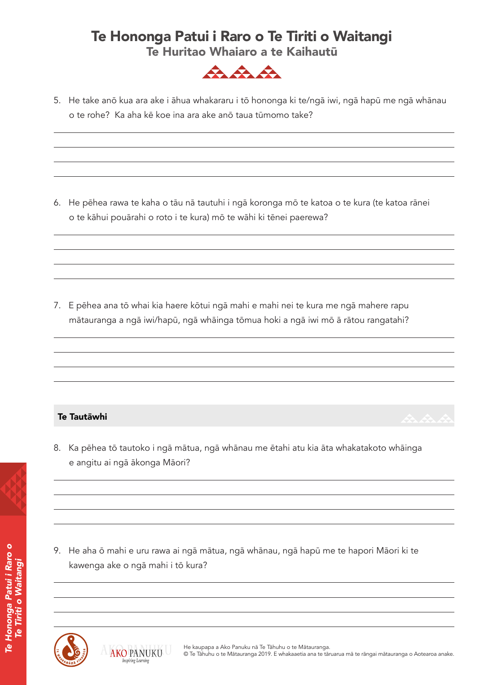### Te Hononga Patui i Raro o Te Tiriti o Waitangi Te Huritao Whaiaro a te Kaihautū



5. He take anō kua ara ake i āhua whakararu i tō hononga ki te/ngā iwi, ngā hapū me ngā whānau o te rohe? Ka aha kē koe ina ara ake anō taua tūmomo take?

6. He pēhea rawa te kaha o tāu nā tautuhi i ngā koronga mō te katoa o te kura (te katoa rānei o te kāhui pouārahi o roto i te kura) mō te wāhi ki tēnei paerewa?

7. E pēhea ana tō whai kia haere kōtui ngā mahi e mahi nei te kura me ngā mahere rapu mātauranga a ngā iwi/hapū, ngā whāinga tōmua hoki a ngā iwi mō ā rātou rangatahi?

#### Te Tautāwhi

8. Ka pēhea tō tautoko i ngā mātua, ngā whānau me ētahi atu kia āta whakatakoto whāinga e angitu ai ngā ākonga Māori?

9. He aha ō mahi e uru rawa ai ngā mātua, ngā whānau, ngā hapū me te hapori Māori ki te kawenga ake o ngā mahi i tō kura?







*Te Hononga Patui i Raro o Te Tiriti o Waitangi*

Hononga Patui i Raro o ti o Waitang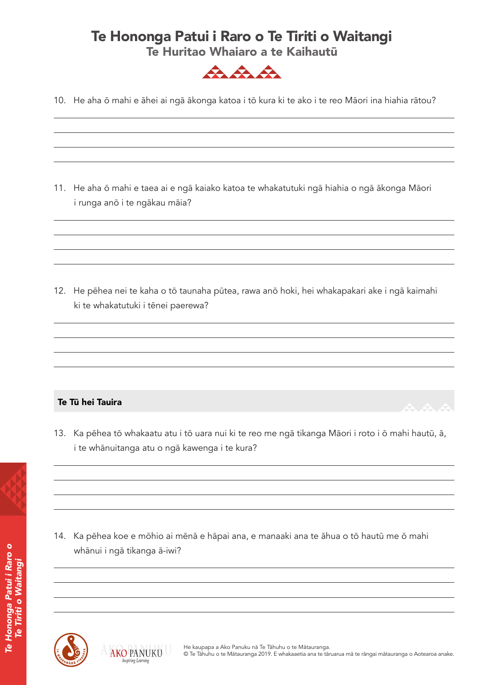## Te Hononga Patui i Raro o Te Tiriti o Waitangi

Te Huritao Whaiaro a te Kaihautū



10. He aha ō mahi e āhei ai ngā ākonga katoa i tō kura ki te ako i te reo Māori ina hiahia rātou?

11. He aha ō mahi e taea ai e ngā kaiako katoa te whakatutuki ngā hiahia o ngā ākonga Māori i runga anō i te ngākau māia?

12. He pēhea nei te kaha o tō taunaha pūtea, rawa anō hoki, hei whakapakari ake i ngā kaimahi ki te whakatutuki i tēnei paerewa?

### Te Tū hei Tauira

13. Ka pēhea tō whakaatu atu i tō uara nui ki te reo me ngā tikanga Māori i roto i ō mahi hautū, ā, i te whānuitanga atu o ngā kawenga i te kura?



*Te Hononga Patui i Raro o Te Tiriti o Waitangi*

e Hononga Patui i Raro o ti o Waitangi 14. Ka pēhea koe e mōhio ai mēnā e hāpai ana, e manaaki ana te āhua o tō hautū me ō mahi whānui i ngā tikanga ā-iwi?